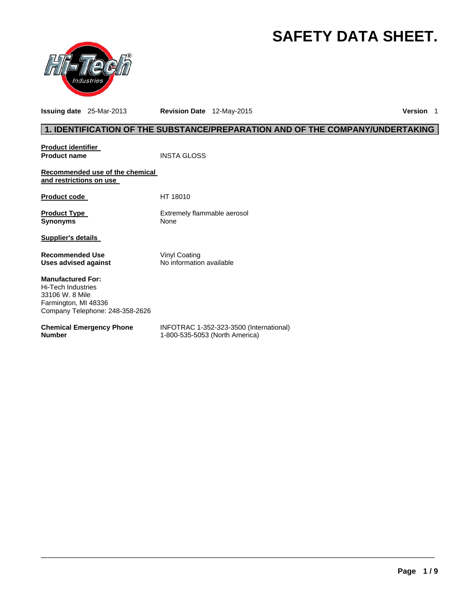# **SAFETY DATA SHEET.**



**Issuing date** 25-Mar-2013 **Revision Date** 12-May-2015 **Version** 1

# **1. IDENTIFICATION OF THE SUBSTANCE/PREPARATION AND OF THE COMPANY/UNDERTAKING**

| <u>Product identifier</u><br><b>Product name</b>                                                                             | <b>INSTA GLOSS</b>                                                        |
|------------------------------------------------------------------------------------------------------------------------------|---------------------------------------------------------------------------|
| Recommended use of the chemical<br>and restrictions on use                                                                   |                                                                           |
| Product code                                                                                                                 | HT 18010                                                                  |
| Product Type<br>Synonyms                                                                                                     | Extremely flammable aerosol<br>None                                       |
| Supplier's details                                                                                                           |                                                                           |
| <b>Recommended Use</b><br>Uses advised against                                                                               | Vinyl Coating<br>No information available                                 |
| <b>Manufactured For:</b><br>Hi-Tech Industries<br>33106 W. 8 Mile<br>Farmington, MI 48336<br>Company Telephone: 248-358-2626 |                                                                           |
| <b>Chemical Emergency Phone</b><br>Number                                                                                    | INFOTRAC 1-352-323-3500 (International)<br>1-800-535-5053 (North America) |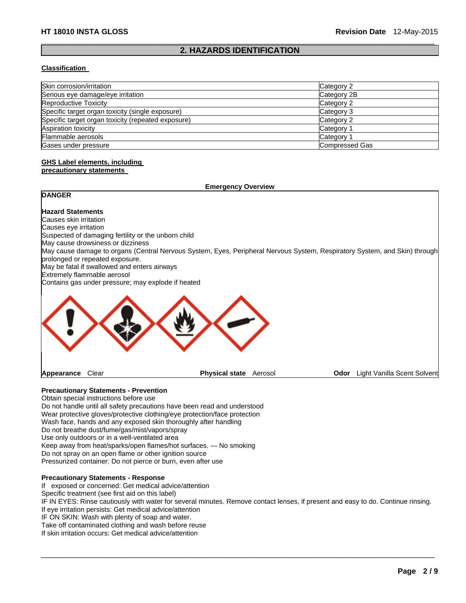#### $\Box$ **2. HAZARDS IDENTIFICATION**

#### **Classification**

| Skin corrosion/irritation                          | Category 2     |
|----------------------------------------------------|----------------|
| Serious eye damage/eye irritation                  | Category 2B    |
| Reproductive Toxicity                              | Category 2     |
| Specific target organ toxicity (single exposure)   | Category 3     |
| Specific target organ toxicity (repeated exposure) | Category 2     |
| Aspiration toxicity                                | Category 1     |
| Flammable aerosols                                 | Category 1     |
| Gases under pressure                               | Compressed Gas |

#### **GHS Label elements, including precautionary statements**

# **Emergency Overview**

# **DANGER Hazard Statements**  Causes skin irritation Causes eye irritation Suspected of damaging fertility or the unborn child May cause drowsiness or dizziness May cause damage to organs (Central Nervous System, Eyes, Peripheral Nervous System, Respiratory System, and Skin) through prolonged or repeated exposure. May be fatal if swallowed and enters airways Extremely flammable aerosol Contains gas under pressure; may explode if heated **Appearance** Clear **Physical state** Aerosol **Odor** Light Vanilla Scent Solvent

# **Precautionary Statements - Prevention**

Obtain special instructions before use Do not handle until all safety precautions have been read and understood Wear protective gloves/protective clothing/eye protection/face protection Wash face, hands and any exposed skin thoroughly after handling Do not breathe dust/fume/gas/mist/vapors/spray Use only outdoors or in a well-ventilated area Keep away from heat/sparks/open flames/hot surfaces. — No smoking Do not spray on an open flame or other ignition source Pressurized container: Do not pierce or burn, even after use

#### **Precautionary Statements - Response**

If exposed or concerned: Get medical advice/attention

Specific treatment (see first aid on this label)

IF IN EYES: Rinse cautiously with water for several minutes. Remove contact lenses, if present and easy to do. Continue rinsing. If eye irritation persists: Get medical advice/attention

 $\Box$ 

IF ON SKIN: Wash with plenty of soap and water.

Take off contaminated clothing and wash before reuse

If skin irritation occurs: Get medical advice/attention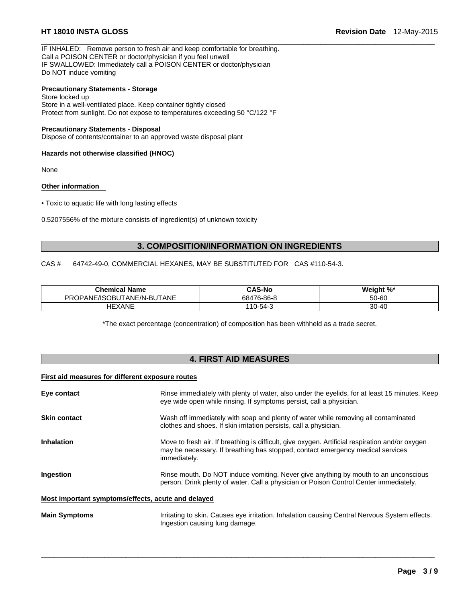IF INHALED: Remove person to fresh air and keep comfortable for breathing. Call a POISON CENTER or doctor/physician if you feel unwell IF SWALLOWED: Immediately call a POISON CENTER or doctor/physician Do NOT induce vomiting

#### **Precautionary Statements - Storage**

Store locked up Store in a well-ventilated place. Keep container tightly closed Protect from sunlight. Do not expose to temperatures exceeding 50 °C/122 °F

#### **Precautionary Statements - Disposal**

Dispose of contents/container to an approved waste disposal plant

#### **Hazards not otherwise classified (HNOC)**

None

#### **Other information**

• Toxic to aquatic life with long lasting effects

0.5207556% of the mixture consists of ingredient(s) of unknown toxicity

### **3. COMPOSITION/INFORMATION ON INGREDIENTS**

 $\Box$ 

CAS # 64742-49-0, COMMERCIAL HEXANES, MAY BE SUBSTITUTED FOR CAS #110-54-3.

| <b>Chemical Name</b>       | <b>CAS-No</b>    | Weight %* |
|----------------------------|------------------|-----------|
| PROPANE/ISOBUTANE/N-BUTANE | 476-86-8<br>684. | 50-60     |
| <b>HEXANE</b>              | 110-54-3         | 30-40     |

\*The exact percentage (concentration) of composition has been withheld as a trade secret.

## **4. FIRST AID MEASURES**

# **First aid measures for different exposure routes**

| Eye contact                                        | Rinse immediately with plenty of water, also under the eyelids, for at least 15 minutes. Keep<br>eye wide open while rinsing. If symptoms persist, call a physician.                              |
|----------------------------------------------------|---------------------------------------------------------------------------------------------------------------------------------------------------------------------------------------------------|
| <b>Skin contact</b>                                | Wash off immediately with soap and plenty of water while removing all contaminated<br>clothes and shoes. If skin irritation persists, call a physician.                                           |
| <b>Inhalation</b>                                  | Move to fresh air. If breathing is difficult, give oxygen. Artificial respiration and/or oxygen<br>may be necessary. If breathing has stopped, contact emergency medical services<br>immediately. |
| Ingestion                                          | Rinse mouth. Do NOT induce vomiting. Never give anything by mouth to an unconscious<br>person. Drink plenty of water. Call a physician or Poison Control Center immediately.                      |
| Most important symptoms/effects, acute and delayed |                                                                                                                                                                                                   |

**Main Symptoms** Irritating to skin. Causes eye irritation. Inhalation causing Central Nervous System effects. Ingestion causing lung damage.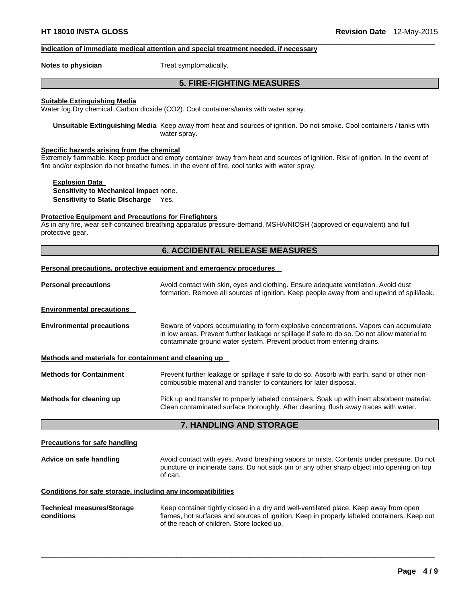#### **Indication of immediate medical attention and special treatment needed, if necessary**

**Notes to physician Treat symptomatically.** 

# **5. FIRE-FIGHTING MEASURES**

 $\Box$ 

#### **Suitable Extinguishing Media**

Water fog.Dry chemical. Carbon dioxide (CO2). Cool containers/tanks with water spray.

**Unsuitable Extinguishing Media** Keep away from heat and sources of ignition. Do not smoke. Cool containers / tanks with water spray.

#### **Specific hazards arising from the chemical**

Extremely flammable. Keep product and empty container away from heat and sources of ignition. Risk of ignition. In the event of fire and/or explosion do not breathe fumes. In the event of fire, cool tanks with water spray.

**Explosion Data Sensitivity to Mechanical Impact** none. **Sensitivity to Static Discharge** Yes.

#### **Protective Equipment and Precautions for Firefighters**

As in any fire, wear self-contained breathing apparatus pressure-demand, MSHA/NIOSH (approved or equivalent) and full protective gear.

### **6. ACCIDENTAL RELEASE MEASURES**

#### **Personal precautions, protective equipment and emergency procedures**

| <b>Personal precautions</b>                                  | Avoid contact with skin, eyes and clothing. Ensure adequate ventilation. Avoid dust<br>formation. Remove all sources of ignition. Keep people away from and upwind of spill/leak.                                                                               |  |
|--------------------------------------------------------------|-----------------------------------------------------------------------------------------------------------------------------------------------------------------------------------------------------------------------------------------------------------------|--|
| <b>Environmental precautions</b>                             |                                                                                                                                                                                                                                                                 |  |
| <b>Environmental precautions</b>                             | Beware of vapors accumulating to form explosive concentrations. Vapors can accumulate<br>in low areas. Prevent further leakage or spillage if safe to do so. Do not allow material to<br>contaminate ground water system. Prevent product from entering drains. |  |
| Methods and materials for containment and cleaning up        |                                                                                                                                                                                                                                                                 |  |
| <b>Methods for Containment</b>                               | Prevent further leakage or spillage if safe to do so. Absorb with earth, sand or other non-<br>combustible material and transfer to containers for later disposal.                                                                                              |  |
| Methods for cleaning up                                      | Pick up and transfer to properly labeled containers. Soak up with inert absorbent material.<br>Clean contaminated surface thoroughly. After cleaning, flush away traces with water.                                                                             |  |
|                                                              | 7. HANDLING AND STORAGE                                                                                                                                                                                                                                         |  |
| <b>Precautions for safe handling</b>                         |                                                                                                                                                                                                                                                                 |  |
| Advice on safe handling                                      | Avoid contact with eyes. Avoid breathing vapors or mists. Contents under pressure. Do not<br>puncture or incinerate cans. Do not stick pin or any other sharp object into opening on top<br>of can.                                                             |  |
| Conditions for safe storage, including any incompatibilities |                                                                                                                                                                                                                                                                 |  |
| <b>Technical measures/Storage</b><br>conditions              | Keep container tightly closed in a dry and well-ventilated place. Keep away from open<br>flames, hot surfaces and sources of ignition. Keep in properly labeled containers. Keep out<br>of the reach of children. Store locked up.                              |  |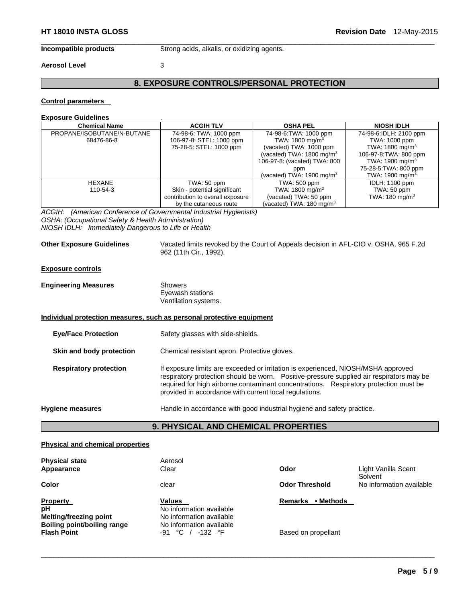**Incompatible products** Strong acids, alkalis, or oxidizing agents.

#### **Aerosol Level** 3

# **8. EXPOSURE CONTROLS/PERSONAL PROTECTION**

 $\Box$ 

#### **Control parameters**

#### **Exposure Guidelines** .

| <b>Chemical Name</b>       | <b>ACGIH TLV</b>                 | <b>OSHA PEL</b>                     | <b>NIOSH IDLH</b>           |
|----------------------------|----------------------------------|-------------------------------------|-----------------------------|
| PROPANE/ISOBUTANE/N-BUTANE | 74-98-6: TWA: 1000 ppm           | 74-98-6: TWA: 1000 ppm              | 74-98-6:IDLH: 2100 ppm      |
| 68476-86-8                 | 106-97-8: STEL: 1000 ppm         | TWA: 1800 mg/m <sup>3</sup>         | TWA: 1000 ppm               |
|                            | 75-28-5: STEL: 1000 ppm          | (vacated) TWA: 1000 ppm             | TWA: $1800 \text{ mg/m}^3$  |
|                            |                                  | (vacated) TWA: 1800 mg/m $3$        | 106-97-8: TWA: 800 ppm      |
|                            |                                  | 106-97-8: (vacated) TWA: 800        | TWA: 1900 mg/m <sup>3</sup> |
|                            |                                  | ppm                                 | 75-28-5: TWA: 800 ppm       |
|                            |                                  | (vacated) TWA: 1900 mg/m $3$        | TWA: 1900 mg/m <sup>3</sup> |
| <b>HEXANE</b>              | TWA: 50 ppm                      | TWA: 500 ppm                        | <b>IDLH: 1100 ppm</b>       |
| 110-54-3                   | Skin - potential significant     | TWA: 1800 mg/m <sup>3</sup>         | TWA: 50 ppm                 |
|                            | contribution to overall exposure | (vacated) TWA: 50 ppm               | TWA: 180 mg/m <sup>3</sup>  |
|                            | by the cutaneous route           | (vacated) TWA: $180 \text{ mg/m}^3$ |                             |

*ACGIH: (American Conference of Governmental Industrial Hygienists) OSHA: (Occupational Safety & Health Administration) NIOSH IDLH: Immediately Dangerous to Life or Health* 

**Other Exposure Guidelines** Vacated limits revoked by the Court of Appeals decision in AFL-CIO v. OSHA, 965 F.2d 962 (11th Cir., 1992).

#### **Exposure controls**

| <b>Engineering Measures</b> | Showers                                             |  |
|-----------------------------|-----------------------------------------------------|--|
|                             | Eyewash stations                                    |  |
|                             | $\mathbf{v}$ , we have the contract of $\mathbf{v}$ |  |

Ventilation systems.

#### **Individual protection measures, such as personal protective equipment**

| <b>Eye/Face Protection</b>    | Safety glasses with side-shields.                                                                                                                                                                                                                                                                                                |
|-------------------------------|----------------------------------------------------------------------------------------------------------------------------------------------------------------------------------------------------------------------------------------------------------------------------------------------------------------------------------|
| Skin and body protection      | Chemical resistant apron. Protective gloves.                                                                                                                                                                                                                                                                                     |
| <b>Respiratory protection</b> | If exposure limits are exceeded or irritation is experienced, NIOSH/MSHA approved<br>respiratory protection should be worn. Positive-pressure supplied air respirators may be<br>required for high airborne contaminant concentrations. Respiratory protection must be<br>provided in accordance with current local regulations. |
| <b>Hygiene measures</b>       | Handle in accordance with good industrial hygiene and safety practice.                                                                                                                                                                                                                                                           |

# **9. PHYSICAL AND CHEMICAL PROPERTIES**

#### **Physical and chemical properties**

| <b>Physical state</b><br>Appearance                                                                                | Aerosol<br>Clear                                                                                                               | Odor                                        | Light Vanilla Scent<br>Solvent |
|--------------------------------------------------------------------------------------------------------------------|--------------------------------------------------------------------------------------------------------------------------------|---------------------------------------------|--------------------------------|
| Color                                                                                                              | clear                                                                                                                          | <b>Odor Threshold</b>                       | No information available       |
| <b>Property</b><br>pH<br><b>Melting/freezing point</b><br><b>Boiling point/boiling range</b><br><b>Flash Point</b> | Values<br>No information available<br>No information available<br>No information available<br>$^{\circ}$ C<br>$-132$ °F<br>-91 | • Methods<br>Remarks<br>Based on propellant |                                |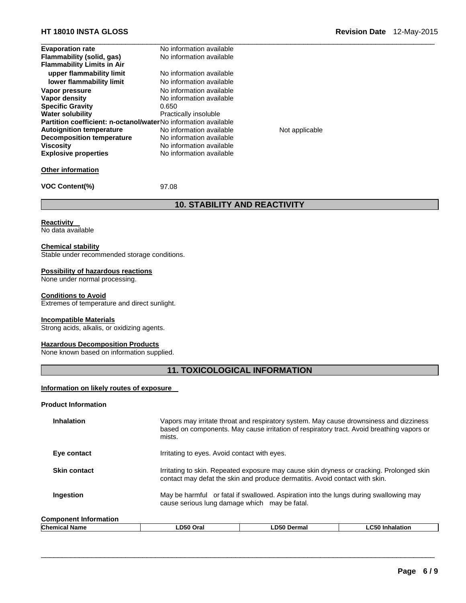| <b>Evaporation rate</b>                                               | No information available |                |  |
|-----------------------------------------------------------------------|--------------------------|----------------|--|
| Flammability (solid, gas)                                             | No information available |                |  |
| <b>Flammability Limits in Air</b>                                     |                          |                |  |
| upper flammability limit                                              | No information available |                |  |
| lower flammability limit                                              | No information available |                |  |
| Vapor pressure                                                        | No information available |                |  |
| Vapor density                                                         | No information available |                |  |
| <b>Specific Gravity</b>                                               | 0.650                    |                |  |
| <b>Water solubility</b>                                               | Practically insoluble    |                |  |
| <b>Partition coefficient: n-octanol/waterNo information available</b> |                          |                |  |
| <b>Autoignition temperature</b>                                       | No information available | Not applicable |  |
| <b>Decomposition temperature</b>                                      | No information available |                |  |
| <b>Viscosity</b>                                                      | No information available |                |  |
| <b>Explosive properties</b>                                           | No information available |                |  |

### **Other information**

**VOC Content(%)** 97.08

# **10. STABILITY AND REACTIVITY**

**Reactivity** 

No data available

#### **Chemical stability**

Stable under recommended storage conditions.

#### **Possibility of hazardous reactions**

None under normal processing.

#### **Conditions to Avoid**

Extremes of temperature and direct sunlight.

#### **Incompatible Materials**

Strong acids, alkalis, or oxidizing agents.

#### **Hazardous Decomposition Products**

None known based on information supplied.

# **11. TOXICOLOGICAL INFORMATION**

#### **Information on likely routes of exposure**

#### **Product Information**

| <b>Inhalation</b>            | Vapors may irritate throat and respiratory system. May cause drownsiness and dizziness<br>based on components. May cause irritation of respiratory tract. Avoid breathing vapors or<br>mists. |
|------------------------------|-----------------------------------------------------------------------------------------------------------------------------------------------------------------------------------------------|
| Eye contact                  | Irritating to eyes. Avoid contact with eyes.                                                                                                                                                  |
| <b>Skin contact</b>          | Irritating to skin. Repeated exposure may cause skin dryness or cracking. Prolonged skin<br>contact may defat the skin and produce dermatitis. Avoid contact with skin.                       |
| Ingestion                    | May be harmful or fatal if swallowed. Aspiration into the lungs during swallowing may<br>cause serious lung damage which may be fatal.                                                        |
| <b>Component Information</b> |                                                                                                                                                                                               |

| <b>Chemical</b><br>Name | Oral<br>∟D50<br>___ | D50<br>Dermal | $- - -$<br>nhalation |
|-------------------------|---------------------|---------------|----------------------|
|                         |                     |               |                      |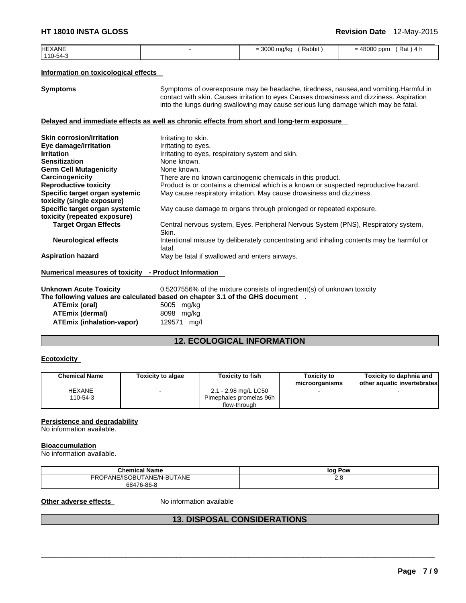| <b>HEXANE</b> | Rabbit<br>= 3000 mg/kg | $= 48000$ ppm<br>$(Rat)$ 4 h |
|---------------|------------------------|------------------------------|
| 110-54-3      |                        |                              |

#### **Information on toxicological effects**

**Symptoms** Symptoms of overexposure may be headache, tiredness, nausea, and vomiting. Harmful in contact with skin. Causes irritation to eyes Causes drowsiness and dizziness. Aspiration into the lungs during swallowing may cause serious lung damage which may be fatal.

### **Delayed and immediate effects as well as chronic effects from short and long-term exposure**

| <b>Skin corrosion/irritation</b>                     | Irritating to skin.                                                                                |
|------------------------------------------------------|----------------------------------------------------------------------------------------------------|
| Eye damage/irritation                                | Irritating to eyes.                                                                                |
| <b>Irritation</b>                                    | Irritating to eyes, respiratory system and skin.                                                   |
| <b>Sensitization</b>                                 | None known.                                                                                        |
| <b>Germ Cell Mutagenicity</b>                        | None known.                                                                                        |
| Carcinogenicity                                      | There are no known carcinogenic chemicals in this product.                                         |
| <b>Reproductive toxicity</b>                         | Product is or contains a chemical which is a known or suspected reproductive hazard.               |
| Specific target organ systemic                       | May cause respiratory irritation. May cause drowsiness and dizziness.                              |
| toxicity (single exposure)                           |                                                                                                    |
| Specific target organ systemic                       | May cause damage to organs through prolonged or repeated exposure.                                 |
| toxicity (repeated exposure)                         |                                                                                                    |
| <b>Target Organ Effects</b>                          | Central nervous system, Eyes, Peripheral Nervous System (PNS), Respiratory system,<br>Skin.        |
| <b>Neurological effects</b>                          | Intentional misuse by deliberately concentrating and inhaling contents may be harmful or<br>fatal. |
| <b>Aspiration hazard</b>                             | May be fatal if swallowed and enters airways.                                                      |
| Numerical measures of toxicity - Product Information |                                                                                                    |
| <b>University Assists Taxistics</b>                  | $\Omega$ EQOZEE COL of the pointing equator of in excellent(a) of unlinearing to violet            |

**Unknown Acute Toxicity** 0.5207556% of the mixture consists of ingredient(s) of unknown toxicity **The following values 3.1 of the GHS document** .

| l ne following values are calculated based on chap |             |
|----------------------------------------------------|-------------|
| <b>ATEmix (oral)</b>                               | 5005 mg/kg  |
| <b>ATEmix (dermal)</b>                             | 8098 mg/kg  |
| <b>ATEmix (inhalation-vapor)</b>                   | 129571 mg/l |

# **12. ECOLOGICAL INFORMATION**

#### **Ecotoxicity**

| <b>Chemical Name</b> | <b>Toxicity to algae</b> | <b>Toxicity to fish</b> | Toxicity to<br>microorganisms | Toxicity to daphnia and<br>lother aquatic invertebrates |
|----------------------|--------------------------|-------------------------|-------------------------------|---------------------------------------------------------|
| <b>HEXANE</b>        |                          | 2.1 - 2.98 mg/L LC50    |                               |                                                         |
| 110-54-3             |                          | Pimephales promelas 96h |                               |                                                         |
|                      |                          | flow-through            |                               |                                                         |

### **Persistence and degradability**

No information available.

#### **Bioaccumulation**

No information available.

| <b>Chemical Name</b>       | log Pow |
|----------------------------|---------|
| PROPANE/ISOBUTANE/N-BUTANE | ۷.٥     |
| 68476-86-8                 |         |

#### **Other adverse effects** No information available

# **13. DISPOSAL CONSIDERATIONS**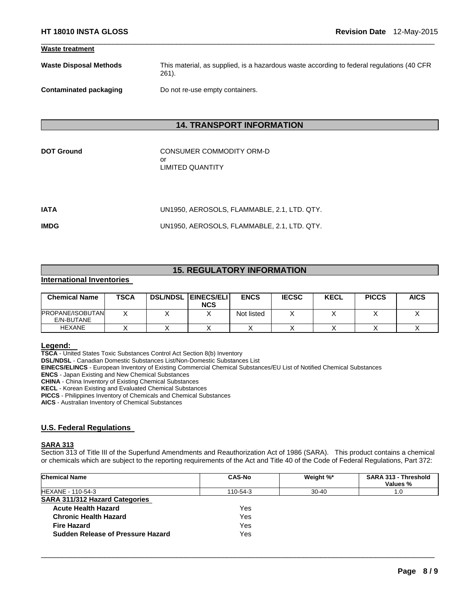| <b>Waste treatment</b>        |                                                                                                       |
|-------------------------------|-------------------------------------------------------------------------------------------------------|
| <b>Waste Disposal Methods</b> | This material, as supplied, is a hazardous waste according to federal regulations (40 CFR<br>$261$ ). |
| Contaminated packaging        | Do not re-use empty containers.                                                                       |

 $\Box$ 

# **14. TRANSPORT INFORMATION**

**CONSUMER COMMODITY ORM-D** or LIMITED QUANTITY

| IATA | UN1950. AEROSOLS. FLAMMABLE. 2.1. LTD. QTY. |
|------|---------------------------------------------|
| IMDG | UN1950, AEROSOLS, FLAMMABLE, 2.1, LTD. QTY. |

# **15. REGULATORY INFORMATION**

# **International Inventories**

| <b>Chemical Name</b>                  | <b>TSCA</b> | <b>DSL/NDSL EINECS/ELI</b><br><b>NCS</b> | <b>ENCS</b> | <b>IECSC</b> | <b>KECL</b> | <b>PICCS</b> | <b>AICS</b> |
|---------------------------------------|-------------|------------------------------------------|-------------|--------------|-------------|--------------|-------------|
| <b>PROPANE/ISOBUTAN</b><br>E/N-BUTANE |             |                                          | Not listed  |              |             |              |             |
| <b>HEXANE</b>                         |             |                                          |             |              |             |              |             |

**Legend: TSCA** - United States Toxic Substances Control Act Section 8(b) Inventory **DSL/NDSL** - Canadian Domestic Substances List/Non-Domestic Substances List **EINECS/ELINCS** - European Inventory of Existing Commercial Chemical Substances/EU List of Notified Chemical Substances **ENCS** - Japan Existing and New Chemical Substances **CHINA** - China Inventory of Existing Chemical Substances **KECL** - Korean Existing and Evaluated Chemical Substances **PICCS** - Philippines Inventory of Chemicals and Chemical Substances **AICS** - Australian Inventory of Chemical Substances

# **U.S. Federal Regulations**

# **SARA 313**

Section 313 of Title III of the Superfund Amendments and Reauthorization Act of 1986 (SARA). This product contains a chemical or chemicals which are subject to the reporting requirements of the Act and Title 40 of the Code of Federal Regulations, Part 372:

| <b>Chemical Name</b>                  | <b>CAS-No</b> | Weight %* | SARA 313 - Threshold<br>Values % |
|---------------------------------------|---------------|-----------|----------------------------------|
| <b>HEXANE - 110-54-3</b>              | 110-54-3      | $30 - 40$ | L.O                              |
| <b>SARA 311/312 Hazard Categories</b> |               |           |                                  |
| <b>Acute Health Hazard</b>            | Yes           |           |                                  |
| <b>Chronic Health Hazard</b>          | Yes           |           |                                  |
| <b>Fire Hazard</b>                    | Yes           |           |                                  |
| Sudden Release of Pressure Hazard     | Yes           |           |                                  |